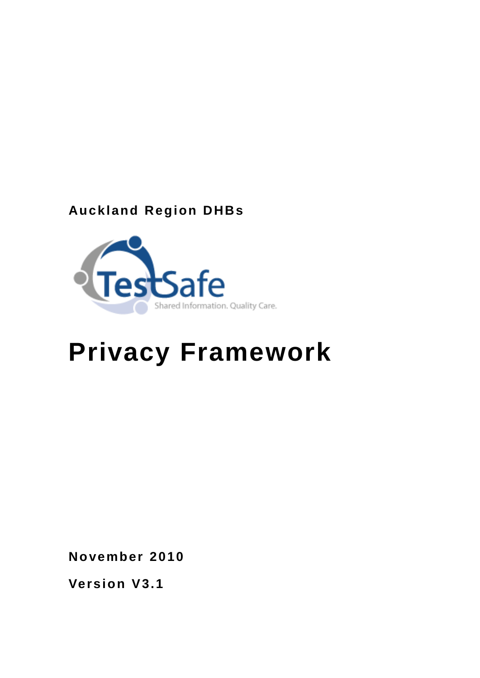# **Auckland Region DHBs**



# **Privacy Framework**

**November 2010**

**Version V3.1**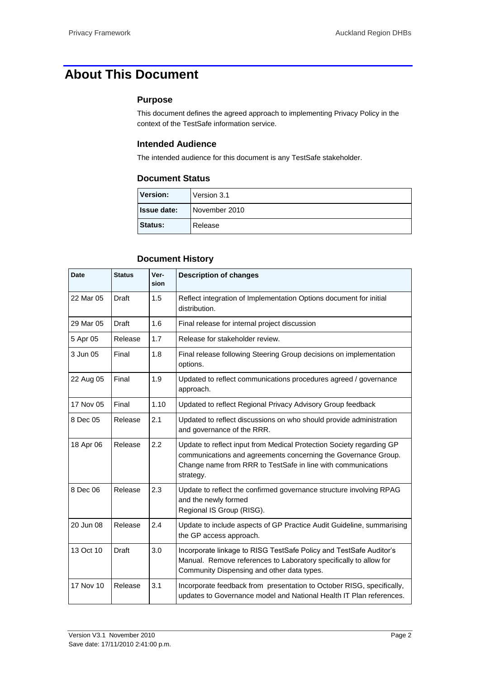# <span id="page-1-0"></span>**About This Document**

#### **Purpose**

This document defines the agreed approach to implementing Privacy Policy in the context of the TestSafe information service.

#### **Intended Audience**

The intended audience for this document is any TestSafe stakeholder.

#### **Document Status**

| <b>Version:</b>    | Version 3.1   |
|--------------------|---------------|
| <b>Issue date:</b> | November 2010 |
| <b>Status:</b>     | Release       |

#### **Document History**

| Date      | <b>Status</b> | Ver-<br>sion | <b>Description of changes</b>                                                                                                                                                                                       |  |
|-----------|---------------|--------------|---------------------------------------------------------------------------------------------------------------------------------------------------------------------------------------------------------------------|--|
| 22 Mar 05 | Draft         | 1.5          | Reflect integration of Implementation Options document for initial<br>distribution.                                                                                                                                 |  |
| 29 Mar 05 | Draft         | 1.6          | Final release for internal project discussion                                                                                                                                                                       |  |
| 5 Apr 05  | Release       | 1.7          | Release for stakeholder review.                                                                                                                                                                                     |  |
| 3 Jun 05  | Final         | 1.8          | Final release following Steering Group decisions on implementation<br>options.                                                                                                                                      |  |
| 22 Aug 05 | Final         | 1.9          | Updated to reflect communications procedures agreed / governance<br>approach.                                                                                                                                       |  |
| 17 Nov 05 | Final         | 1.10         | Updated to reflect Regional Privacy Advisory Group feedback                                                                                                                                                         |  |
| 8 Dec 05  | Release       | 2.1          | Updated to reflect discussions on who should provide administration<br>and governance of the RRR.                                                                                                                   |  |
| 18 Apr 06 | Release       | 2.2          | Update to reflect input from Medical Protection Society regarding GP<br>communications and agreements concerning the Governance Group.<br>Change name from RRR to TestSafe in line with communications<br>strategy. |  |
| 8 Dec 06  | Release       | 2.3          | Update to reflect the confirmed governance structure involving RPAG<br>and the newly formed<br>Regional IS Group (RISG).                                                                                            |  |
| 20 Jun 08 | Release       | 2.4          | Update to include aspects of GP Practice Audit Guideline, summarising<br>the GP access approach.                                                                                                                    |  |
| 13 Oct 10 | <b>Draft</b>  | 3.0          | Incorporate linkage to RISG TestSafe Policy and TestSafe Auditor's<br>Manual. Remove references to Laboratory specifically to allow for<br>Community Dispensing and other data types.                               |  |
| 17 Nov 10 | Release       | 3.1          | Incorporate feedback from presentation to October RISG, specifically,<br>updates to Governance model and National Health IT Plan references.                                                                        |  |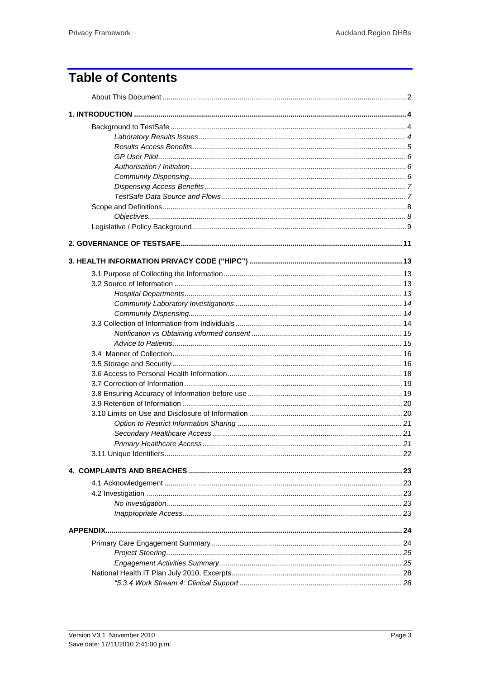# **Table of Contents**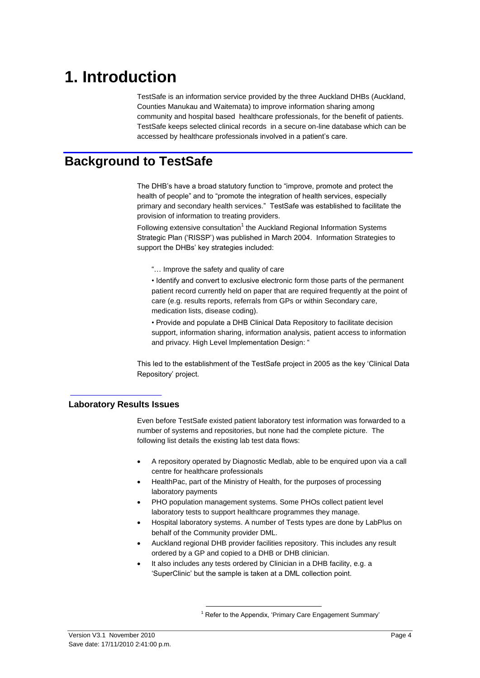# <span id="page-3-0"></span>**1. Introduction**

TestSafe is an information service provided by the three Auckland DHBs (Auckland, Counties Manukau and Waitemata) to improve information sharing among community and hospital based healthcare professionals, for the benefit of patients. TestSafe keeps selected clinical records in a secure on-line database which can be accessed by healthcare professionals involved in a patient's care.

### <span id="page-3-1"></span>**Background to TestSafe**

The DHB"s have a broad statutory function to "improve, promote and protect the health of people" and to "promote the integration of health services, especially primary and secondary health services." TestSafe was established to facilitate the provision of information to treating providers.

Following extensive consultation<sup>1</sup> the Auckland Regional Information Systems Strategic Plan ("RISSP") was published in March 2004. Information Strategies to support the DHBs' key strategies included:

"… Improve the safety and quality of care

• Identify and convert to exclusive electronic form those parts of the permanent patient record currently held on paper that are required frequently at the point of care (e.g. results reports, referrals from GPs or within Secondary care, medication lists, disease coding).

• Provide and populate a DHB Clinical Data Repository to facilitate decision support, information sharing, information analysis, patient access to information and privacy. High Level Implementation Design: "

This led to the establishment of the TestSafe project in 2005 as the key "Clinical Data Repository" project.

#### <span id="page-3-2"></span>**Laboratory Results Issues**

Even before TestSafe existed patient laboratory test information was forwarded to a number of systems and repositories, but none had the complete picture. The following list details the existing lab test data flows:

- A repository operated by Diagnostic Medlab, able to be enquired upon via a call centre for healthcare professionals
- HealthPac, part of the Ministry of Health, for the purposes of processing laboratory payments
- PHO population management systems. Some PHOs collect patient level laboratory tests to support healthcare programmes they manage.
- Hospital laboratory systems. A number of Tests types are done by LabPlus on behalf of the Community provider DML.
- Auckland regional DHB provider facilities repository. This includes any result ordered by a GP and copied to a DHB or DHB clinician.
- It also includes any tests ordered by Clinician in a DHB facility, e.g. a "SuperClinic" but the sample is taken at a DML collection point.

 $\overline{a}$ 

 $1$  Refer to the Appendix, 'Primary Care Engagement Summary'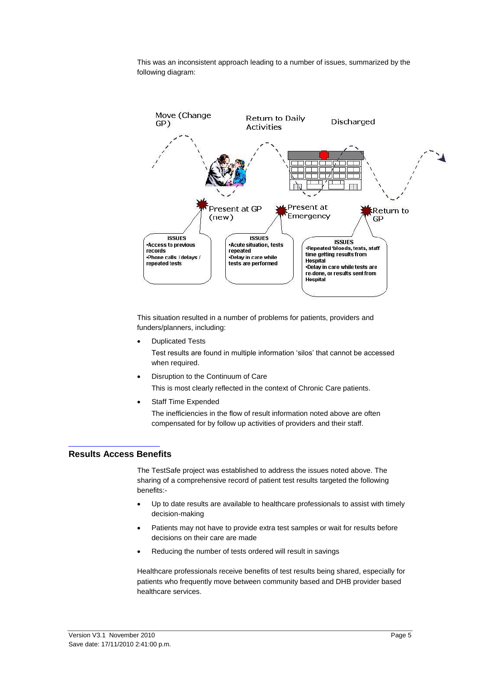This was an inconsistent approach leading to a number of issues, summarized by the following diagram:



This situation resulted in a number of problems for patients, providers and funders/planners, including:

- Duplicated Tests Test results are found in multiple information "silos" that cannot be accessed when required.
- Disruption to the Continuum of Care This is most clearly reflected in the context of Chronic Care patients.
- Staff Time Expended

The inefficiencies in the flow of result information noted above are often compensated for by follow up activities of providers and their staff.

#### <span id="page-4-0"></span>**Results Access Benefits**

The TestSafe project was established to address the issues noted above. The sharing of a comprehensive record of patient test results targeted the following benefits:-

- Up to date results are available to healthcare professionals to assist with timely decision-making
- Patients may not have to provide extra test samples or wait for results before decisions on their care are made
- Reducing the number of tests ordered will result in savings

Healthcare professionals receive benefits of test results being shared, especially for patients who frequently move between community based and DHB provider based healthcare services.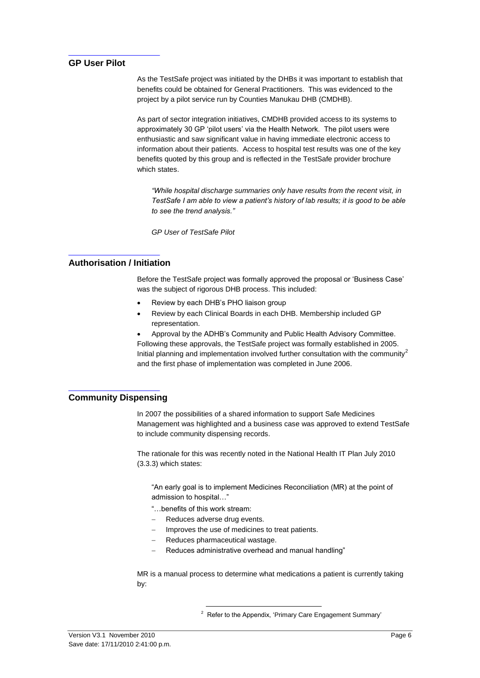#### <span id="page-5-0"></span>**GP User Pilot**

As the TestSafe project was initiated by the DHBs it was important to establish that benefits could be obtained for General Practitioners. This was evidenced to the project by a pilot service run by Counties Manukau DHB (CMDHB).

As part of sector integration initiatives, CMDHB provided access to its systems to approximately 30 GP "pilot users" via the Health Network. The pilot users were enthusiastic and saw significant value in having immediate electronic access to information about their patients. Access to hospital test results was one of the key benefits quoted by this group and is reflected in the TestSafe provider brochure which states.

*"While hospital discharge summaries only have results from the recent visit, in TestSafe I am able to view a patient's history of lab results; it is good to be able to see the trend analysis."*

*GP User of TestSafe Pilot*

#### <span id="page-5-1"></span>**Authorisation / Initiation**

Before the TestSafe project was formally approved the proposal or "Business Case" was the subject of rigorous DHB process. This included:

- Review by each DHB"s PHO liaison group
- Review by each Clinical Boards in each DHB. Membership included GP representation.
- Approval by the ADHB"s Community and Public Health Advisory Committee. Following these approvals, the TestSafe project was formally established in 2005. Initial planning and implementation involved further consultation with the community<sup>2</sup> and the first phase of implementation was completed in June 2006.

#### <span id="page-5-2"></span>**Community Dispensing**

In 2007 the possibilities of a shared information to support Safe Medicines Management was highlighted and a business case was approved to extend TestSafe to include community dispensing records.

The rationale for this was recently noted in the National Health IT Plan July 2010 (3.3.3) which states:

"An early goal is to implement Medicines Reconciliation (MR) at the point of admission to hospital…"

- "…benefits of this work stream:
- Reduces adverse drug events.

 $\overline{a}$ 

- Improves the use of medicines to treat patients.
- Reduces pharmaceutical wastage.
- Reduces administrative overhead and manual handling"

MR is a manual process to determine what medications a patient is currently taking by:

<sup>2</sup> Refer to the Appendix, 'Primary Care Engagement Summary'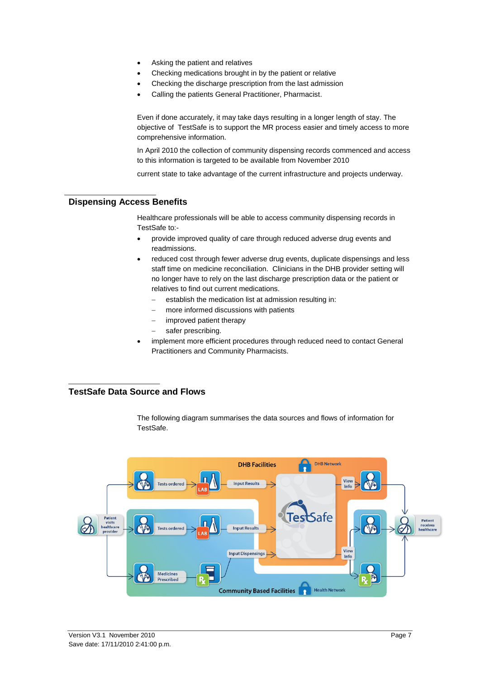- Asking the patient and relatives
- Checking medications brought in by the patient or relative
- Checking the discharge prescription from the last admission
- Calling the patients General Practitioner, Pharmacist.

Even if done accurately, it may take days resulting in a longer length of stay. The objective of TestSafe is to support the MR process easier and timely access to more comprehensive information.

In April 2010 the collection of community dispensing records commenced and access to this information is targeted to be available from November 2010

current state to take advantage of the current infrastructure and projects underway.

#### <span id="page-6-0"></span>**Dispensing Access Benefits**

Healthcare professionals will be able to access community dispensing records in TestSafe to:-

- provide improved quality of care through reduced adverse drug events and readmissions.
- reduced cost through fewer adverse drug events, duplicate dispensings and less staff time on medicine reconciliation. Clinicians in the DHB provider setting will no longer have to rely on the last discharge prescription data or the patient or relatives to find out current medications.
	- establish the medication list at admission resulting in:
	- more informed discussions with patients
	- improved patient therapy
	- safer prescribing.
- implement more efficient procedures through reduced need to contact General Practitioners and Community Pharmacists.

#### <span id="page-6-1"></span>**TestSafe Data Source and Flows**

The following diagram summarises the data sources and flows of information for TestSafe.

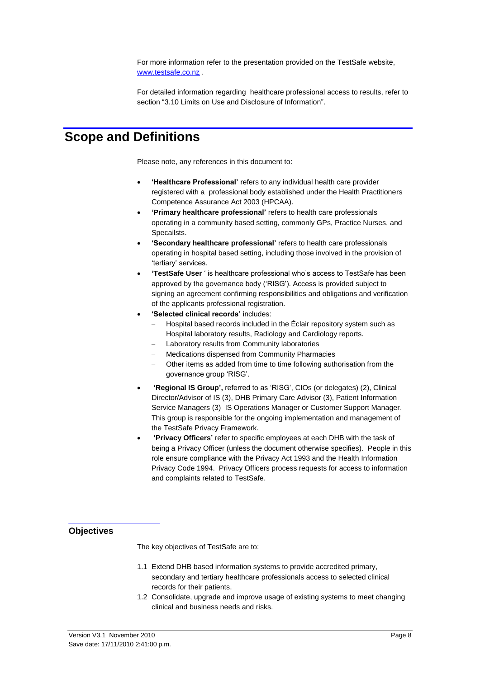For more information refer to the presentation provided on the TestSafe website, [www.testsafe.co.nz](http://www.testsafe.co.nz/) .

For detailed information regarding healthcare professional access to results, refer to section ["3.10 Limits on Use and Disclosure of Information"](#page-19-1).

### <span id="page-7-0"></span>**Scope and Definitions**

Please note, any references in this document to:

- **"Healthcare Professional"** refers to any individual health care provider registered with a professional body established under the Health Practitioners Competence Assurance Act 2003 (HPCAA).
- **"Primary healthcare professional"** refers to health care professionals operating in a community based setting, commonly GPs, Practice Nurses, and Specailsts.
- **"Secondary healthcare professional"** refers to health care professionals operating in hospital based setting, including those involved in the provision of 'tertiary' services.
- **"TestSafe User** " is healthcare professional who"s access to TestSafe has been approved by the governance body ("RISG"). Access is provided subject to signing an agreement confirming responsibilities and obligations and verification of the applicants professional registration.
- **"Selected clinical records"** includes:
	- Hospital based records included in the Éclair repository system such as Hospital laboratory results, Radiology and Cardiology reports.
	- Laboratory results from Community laboratories
	- Medications dispensed from Community Pharmacies
	- Other items as added from time to time following authorisation from the governance group "RISG".
- **"Regional IS Group",** referred to as "RISG", CIOs (or delegates) (2), Clinical Director/Advisor of IS (3), DHB Primary Care Advisor (3), Patient Information Service Managers (3) IS Operations Manager or Customer Support Manager. This group is responsible for the ongoing implementation and management of the TestSafe Privacy Framework.
- **"Privacy Officers"** refer to specific employees at each DHB with the task of being a Privacy Officer (unless the document otherwise specifies). People in this role ensure compliance with the Privacy Act 1993 and the Health Information Privacy Code 1994. Privacy Officers process requests for access to information and complaints related to TestSafe.

#### <span id="page-7-1"></span>**Objectives**

The key objectives of TestSafe are to:

- 1.1 Extend DHB based information systems to provide accredited primary, secondary and tertiary healthcare professionals access to selected clinical records for their patients.
- 1.2 Consolidate, upgrade and improve usage of existing systems to meet changing clinical and business needs and risks.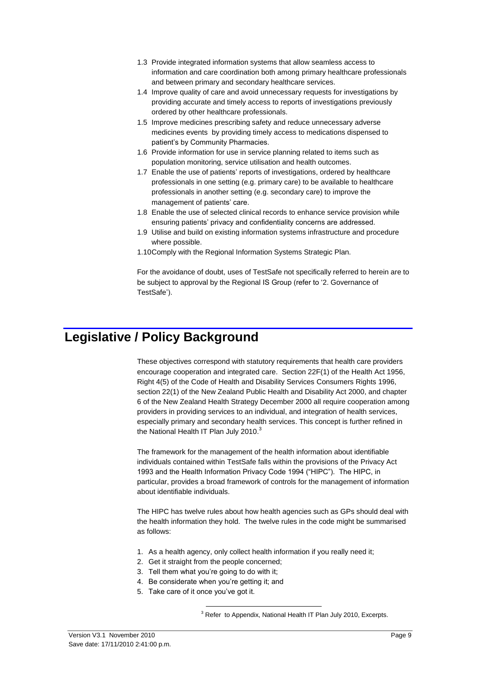- 1.3 Provide integrated information systems that allow seamless access to information and care coordination both among primary healthcare professionals and between primary and secondary healthcare services.
- 1.4 Improve quality of care and avoid unnecessary requests for investigations by providing accurate and timely access to reports of investigations previously ordered by other healthcare professionals.
- 1.5 Improve medicines prescribing safety and reduce unnecessary adverse medicines events by providing timely access to medications dispensed to patient"s by Community Pharmacies.
- 1.6 Provide information for use in service planning related to items such as population monitoring, service utilisation and health outcomes.
- 1.7 Enable the use of patients" reports of investigations, ordered by healthcare professionals in one setting (e.g. primary care) to be available to healthcare professionals in another setting (e.g. secondary care) to improve the management of patients' care.
- 1.8 Enable the use of selected clinical records to enhance service provision while ensuring patients" privacy and confidentiality concerns are addressed.
- 1.9 Utilise and build on existing information systems infrastructure and procedure where possible.
- 1.10Comply with the Regional Information Systems Strategic Plan.

For the avoidance of doubt, uses of TestSafe not specifically referred to herein are to be subject to approval by the Regional IS Group (refer to ["2. Governance of](#page-10-0)  TestSafe').

### <span id="page-8-0"></span>**Legislative / Policy Background**

These objectives correspond with statutory requirements that health care providers encourage cooperation and integrated care. Section 22F(1) of the Health Act 1956, Right 4(5) of the Code of Health and Disability Services Consumers Rights 1996, section 22(1) of the New Zealand Public Health and Disability Act 2000, and chapter 6 of the New Zealand Health Strategy December 2000 all require cooperation among providers in providing services to an individual, and integration of health services, especially primary and secondary health services. This concept is further refined in the National Health IT Plan July 2010. $^3$ 

The framework for the management of the health information about identifiable individuals contained within TestSafe falls within the provisions of the Privacy Act 1993 and the Health Information Privacy Code 1994 ("HIPC"). The HIPC, in particular, provides a broad framework of controls for the management of information about identifiable individuals.

The HIPC has twelve rules about how health agencies such as GPs should deal with the health information they hold. The twelve rules in the code might be summarised as follows:

- 1. As a health agency, only collect health information if you really need it;
- 2. Get it straight from the people concerned;
- 3. Tell them what you"re going to do with it;

 $\overline{a}$ 

- 4. Be considerate when you"re getting it; and
- 5. Take care of it once you"ve got it.

<sup>3</sup> Refer to Appendix, National Health IT Plan July 2010, Excerpts.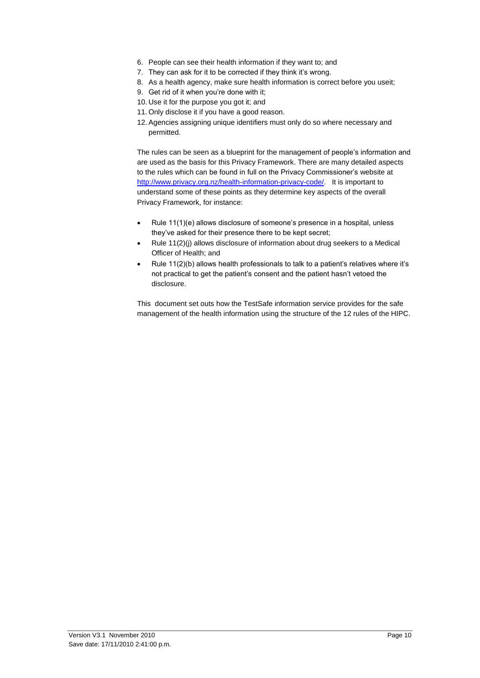- 6. People can see their health information if they want to; and
- 7. They can ask for it to be corrected if they think it's wrong.
- 8. As a health agency, make sure health information is correct before you useit;
- 9. Get rid of it when you"re done with it;
- 10. Use it for the purpose you got it; and
- 11. Only disclose it if you have a good reason.
- 12. Agencies assigning unique identifiers must only do so where necessary and permitted.

The rules can be seen as a blueprint for the management of people's information and are used as the basis for this Privacy Framework. There are many detailed aspects to the rules which can be found in full on the Privacy Commissioner"s website at [http://www.privacy.org.nz/health-information-privacy-code/.](http://www.privacy.org.nz/health-information-privacy-code/) It is important to understand some of these points as they determine key aspects of the overall Privacy Framework, for instance:

- Rule 11(1)(e) allows disclosure of someone's presence in a hospital, unless they"ve asked for their presence there to be kept secret;
- Rule 11(2)(j) allows disclosure of information about drug seekers to a Medical Officer of Health; and
- Rule 11(2)(b) allows health professionals to talk to a patient"s relatives where it"s not practical to get the patient"s consent and the patient hasn"t vetoed the disclosure.

This document set outs how the TestSafe information service provides for the safe management of the health information using the structure of the 12 rules of the HIPC.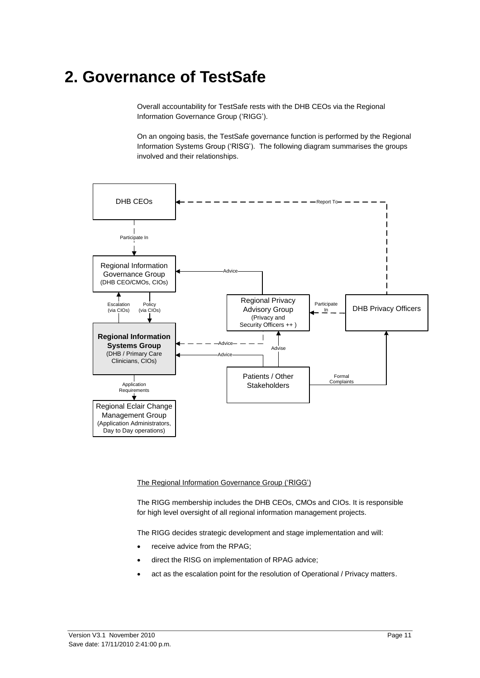# <span id="page-10-0"></span>**2. Governance of TestSafe**

Overall accountability for TestSafe rests with the DHB CEOs via the Regional Information Governance Group ("RIGG").

On an ongoing basis, the TestSafe governance function is performed by the Regional Information Systems Group ("RISG"). The following diagram summarises the groups involved and their relationships.



The Regional Information Governance Group ("RIGG")

The RIGG membership includes the DHB CEOs, CMOs and CIOs. It is responsible for high level oversight of all regional information management projects.

The RIGG decides strategic development and stage implementation and will:

- receive advice from the RPAG;
- direct the RISG on implementation of RPAG advice;
- act as the escalation point for the resolution of Operational / Privacy matters.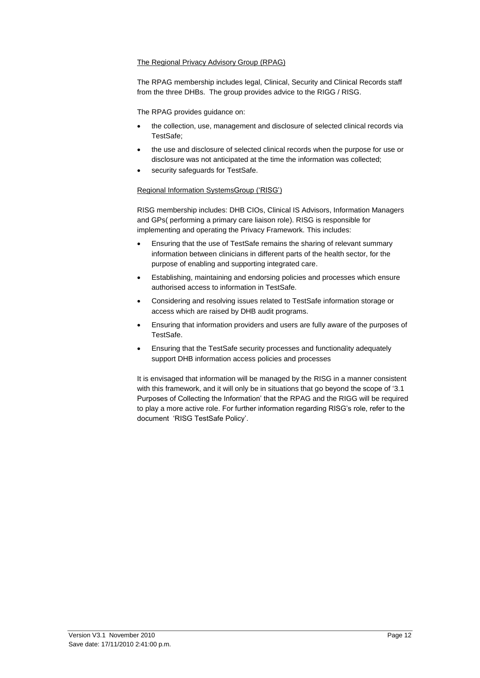#### The Regional Privacy Advisory Group (RPAG)

The RPAG membership includes legal, Clinical, Security and Clinical Records staff from the three DHBs. The group provides advice to the RIGG / RISG.

The RPAG provides guidance on:

- the collection, use, management and disclosure of selected clinical records via TestSafe;
- the use and disclosure of selected clinical records when the purpose for use or disclosure was not anticipated at the time the information was collected;
- security safeguards for TestSafe.

#### Regional Information SystemsGroup ("RISG")

RISG membership includes: DHB CIOs, Clinical IS Advisors, Information Managers and GPs( performing a primary care liaison role). RISG is responsible for implementing and operating the Privacy Framework. This includes:

- Ensuring that the use of TestSafe remains the sharing of relevant summary information between clinicians in different parts of the health sector, for the purpose of enabling and supporting integrated care.
- Establishing, maintaining and endorsing policies and processes which ensure authorised access to information in TestSafe.
- Considering and resolving issues related to TestSafe information storage or access which are raised by DHB audit programs.
- Ensuring that information providers and users are fully aware of the purposes of TestSafe.
- Ensuring that the TestSafe security processes and functionality adequately support DHB information access policies and processes

It is envisaged that information will be managed by the RISG in a manner consistent with this framework, and it will only be in situations that go beyond the scope of "3.1 Purposes of Collecting the Information" that the RPAG and the RIGG will be required to play a more active role. For further information regarding RISG"s role, refer to the document "RISG TestSafe Policy".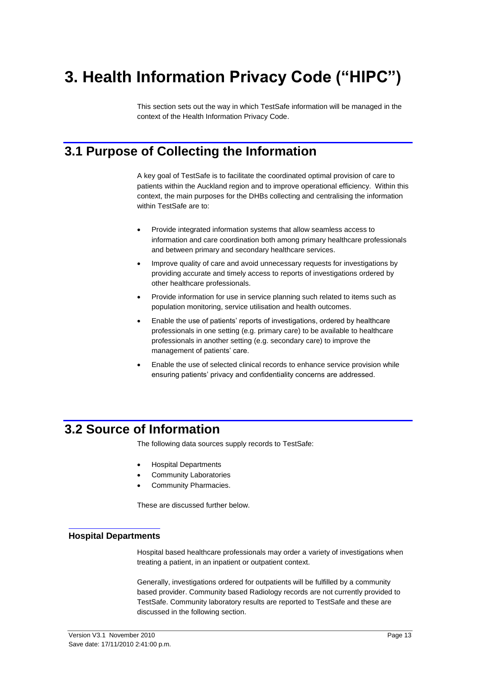# <span id="page-12-0"></span>**3. Health Information Privacy Code ("HIPC")**

This section sets out the way in which TestSafe information will be managed in the context of the Health Information Privacy Code.

### <span id="page-12-1"></span>**3.1 Purpose of Collecting the Information**

A key goal of TestSafe is to facilitate the coordinated optimal provision of care to patients within the Auckland region and to improve operational efficiency. Within this context, the main purposes for the DHBs collecting and centralising the information within TestSafe are to:

- Provide integrated information systems that allow seamless access to information and care coordination both among primary healthcare professionals and between primary and secondary healthcare services.
- Improve quality of care and avoid unnecessary requests for investigations by providing accurate and timely access to reports of investigations ordered by other healthcare professionals.
- Provide information for use in service planning such related to items such as population monitoring, service utilisation and health outcomes.
- Enable the use of patients' reports of investigations, ordered by healthcare professionals in one setting (e.g. primary care) to be available to healthcare professionals in another setting (e.g. secondary care) to improve the management of patients' care.
- Enable the use of selected clinical records to enhance service provision while ensuring patients' privacy and confidentiality concerns are addressed.

### <span id="page-12-2"></span>**3.2 Source of Information**

The following data sources supply records to TestSafe:

- Hospital Departments
- Community Laboratories
- Community Pharmacies.

These are discussed further below.

#### <span id="page-12-3"></span>**Hospital Departments**

Hospital based healthcare professionals may order a variety of investigations when treating a patient, in an inpatient or outpatient context.

Generally, investigations ordered for outpatients will be fulfilled by a community based provider. Community based Radiology records are not currently provided to TestSafe. Community laboratory results are reported to TestSafe and these are discussed in the following section.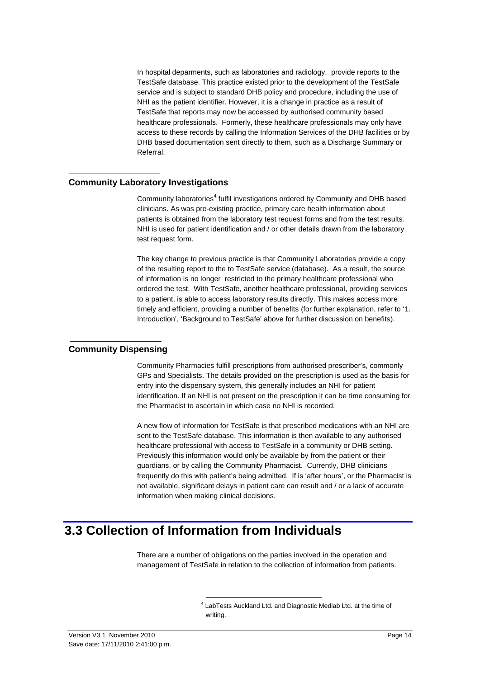In hospital deparments, such as laboratories and radiology, provide reports to the TestSafe database. This practice existed prior to the development of the TestSafe service and is subject to standard DHB policy and procedure, including the use of NHI as the patient identifier. However, it is a change in practice as a result of TestSafe that reports may now be accessed by authorised community based healthcare professionals. Formerly, these healthcare professionals may only have access to these records by calling the Information Services of the DHB facilities or by DHB based documentation sent directly to them, such as a Discharge Summary or Referral.

#### <span id="page-13-0"></span>**Community Laboratory Investigations**

Community laboratories<sup>4</sup> fulfil investigations ordered by Community and DHB based clinicians. As was pre-existing practice, primary care health information about patients is obtained from the laboratory test request forms and from the test results. NHI is used for patient identification and / or other details drawn from the laboratory test request form.

The key change to previous practice is that Community Laboratories provide a copy of the resulting report to the to TestSafe service (database). As a result, the source of information is no longer restricted to the primary healthcare professional who ordered the test. With TestSafe, another healthcare professional, providing services to a patient, is able to access laboratory results directly. This makes access more timely and efficient, providing a number of benefits (for further explanation, refer to ["1.](#page-3-0)  Introduction', 'Background to TestSafe' above for further discussion on benefits).

#### <span id="page-13-1"></span>**Community Dispensing**

Community Pharmacies fulfill prescriptions from authorised prescriber"s, commonly GPs and Specialists. The details provided on the prescription is used as the basis for entry into the dispensary system, this generally includes an NHI for patient identification. If an NHI is not present on the prescription it can be time consuming for the Pharmacist to ascertain in which case no NHI is recorded.

A new flow of information for TestSafe is that prescribed medications with an NHI are sent to the TestSafe database. This information is then available to any authorised healthcare professional with access to TestSafe in a community or DHB setting. Previously this information would only be available by from the patient or their guardians, or by calling the Community Pharmacist. Currently, DHB clinicians frequently do this with patient's being admitted. If is 'after hours', or the Pharmacist is not available, significant delays in patient care can result and / or a lack of accurate information when making clinical decisions.

### <span id="page-13-2"></span>**3.3 Collection of Information from Individuals**

1

There are a number of obligations on the parties involved in the operation and management of TestSafe in relation to the collection of information from patients.

<sup>&</sup>lt;sup>4</sup> LabTests Auckland Ltd. and Diagnostic Medlab Ltd. at the time of writing.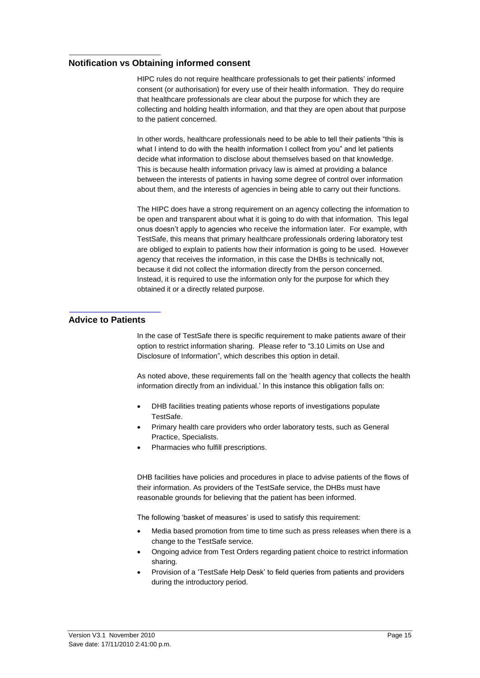#### <span id="page-14-0"></span>**Notification vs Obtaining informed consent**

HIPC rules do not require healthcare professionals to get their patients" informed consent (or authorisation) for every use of their health information. They do require that healthcare professionals are clear about the purpose for which they are collecting and holding health information, and that they are open about that purpose to the patient concerned.

In other words, healthcare professionals need to be able to tell their patients "this is what I intend to do with the health information I collect from you" and let patients decide what information to disclose about themselves based on that knowledge. This is because health information privacy law is aimed at providing a balance between the interests of patients in having some degree of control over information about them, and the interests of agencies in being able to carry out their functions.

The HIPC does have a strong requirement on an agency collecting the information to be open and transparent about what it is going to do with that information. This legal onus doesn"t apply to agencies who receive the information later. For example, wIth TestSafe, this means that primary healthcare professionals ordering laboratory test are obliged to explain to patients how their information is going to be used. However agency that receives the information, in this case the DHBs is technically not, because it did not collect the information directly from the person concerned. Instead, it is required to use the information only for the purpose for which they obtained it or a directly related purpose.

#### <span id="page-14-1"></span>**Advice to Patients**

In the case of TestSafe there is specific requirement to make patients aware of their option to restrict information sharing. Please refer to ["3.10 Limits on Use and](#page-19-1)  [Disclosure of Information"](#page-19-1), which describes this option in detail.

As noted above, these requirements fall on the "health agency that collects the health information directly from an individual.' In this instance this obligation falls on:

- DHB facilities treating patients whose reports of investigations populate TestSafe.
- Primary health care providers who order laboratory tests, such as General Practice, Specialists.
- Pharmacies who fulfill prescriptions.

DHB facilities have policies and procedures in place to advise patients of the flows of their information. As providers of the TestSafe service, the DHBs must have reasonable grounds for believing that the patient has been informed.

The following 'basket of measures' is used to satisfy this requirement:

- Media based promotion from time to time such as press releases when there is a change to the TestSafe service.
- Ongoing advice from Test Orders regarding patient choice to restrict information sharing.
- Provision of a "TestSafe Help Desk" to field queries from patients and providers during the introductory period.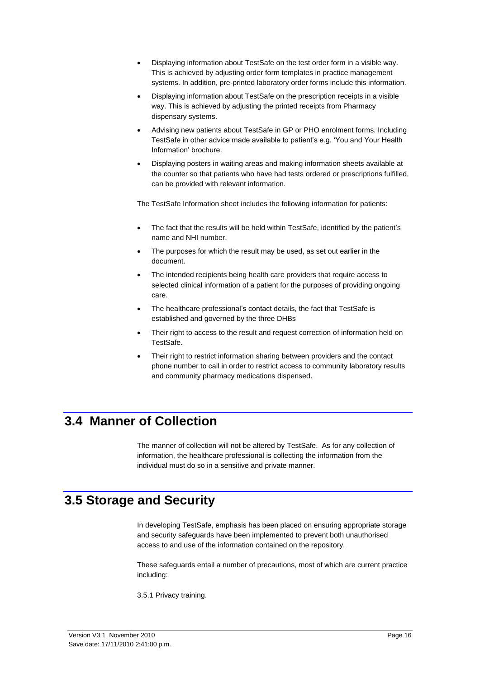- Displaying information about TestSafe on the test order form in a visible way. This is achieved by adjusting order form templates in practice management systems. In addition, pre-printed laboratory order forms include this information.
- Displaying information about TestSafe on the prescription receipts in a visible way. This is achieved by adjusting the printed receipts from Pharmacy dispensary systems.
- Advising new patients about TestSafe in GP or PHO enrolment forms. Including TestSafe in other advice made available to patient"s e.g. "You and Your Health Information" brochure.
- Displaying posters in waiting areas and making information sheets available at the counter so that patients who have had tests ordered or prescriptions fulfilled, can be provided with relevant information.

The TestSafe Information sheet includes the following information for patients:

- The fact that the results will be held within TestSafe, identified by the patient's name and NHI number.
- The purposes for which the result may be used, as set out earlier in the document.
- The intended recipients being health care providers that require access to selected clinical information of a patient for the purposes of providing ongoing care.
- The healthcare professional's contact details, the fact that TestSafe is established and governed by the three DHBs
- Their right to access to the result and request correction of information held on TestSafe.
- Their right to restrict information sharing between providers and the contact phone number to call in order to restrict access to community laboratory results and community pharmacy medications dispensed.

### <span id="page-15-0"></span>**3.4 Manner of Collection**

The manner of collection will not be altered by TestSafe. As for any collection of information, the healthcare professional is collecting the information from the individual must do so in a sensitive and private manner.

### <span id="page-15-1"></span>**3.5 Storage and Security**

In developing TestSafe, emphasis has been placed on ensuring appropriate storage and security safeguards have been implemented to prevent both unauthorised access to and use of the information contained on the repository.

These safeguards entail a number of precautions, most of which are current practice including:

3.5.1 Privacy training.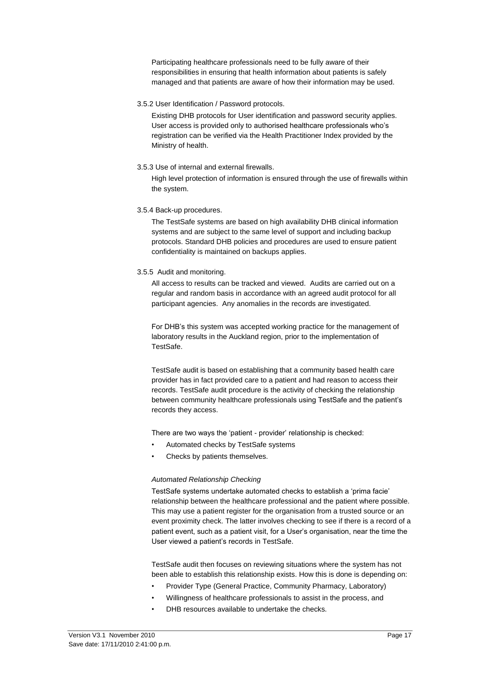Participating healthcare professionals need to be fully aware of their responsibilities in ensuring that health information about patients is safely managed and that patients are aware of how their information may be used.

3.5.2 User Identification / Password protocols.

Existing DHB protocols for User identification and password security applies. User access is provided only to authorised healthcare professionals who"s registration can be verified via the Health Practitioner Index provided by the Ministry of health.

3.5.3 Use of internal and external firewalls.

High level protection of information is ensured through the use of firewalls within the system.

3.5.4 Back-up procedures.

The TestSafe systems are based on high availability DHB clinical information systems and are subject to the same level of support and including backup protocols. Standard DHB policies and procedures are used to ensure patient confidentiality is maintained on backups applies.

3.5.5 Audit and monitoring.

All access to results can be tracked and viewed. Audits are carried out on a regular and random basis in accordance with an agreed audit protocol for all participant agencies. Any anomalies in the records are investigated.

For DHB"s this system was accepted working practice for the management of laboratory results in the Auckland region, prior to the implementation of TestSafe.

TestSafe audit is based on establishing that a community based health care provider has in fact provided care to a patient and had reason to access their records. TestSafe audit procedure is the activity of checking the relationship between community healthcare professionals using TestSafe and the patient"s records they access.

There are two ways the 'patient - provider' relationship is checked:

- Automated checks by TestSafe systems
- Checks by patients themselves.

#### *Automated Relationship Checking*

TestSafe systems undertake automated checks to establish a "prima facie" relationship between the healthcare professional and the patient where possible. This may use a patient register for the organisation from a trusted source or an event proximity check. The latter involves checking to see if there is a record of a patient event, such as a patient visit, for a User"s organisation, near the time the User viewed a patient"s records in TestSafe.

TestSafe audit then focuses on reviewing situations where the system has not been able to establish this relationship exists. How this is done is depending on:

- Provider Type (General Practice, Community Pharmacy, Laboratory)
- Willingness of healthcare professionals to assist in the process, and
- DHB resources available to undertake the checks.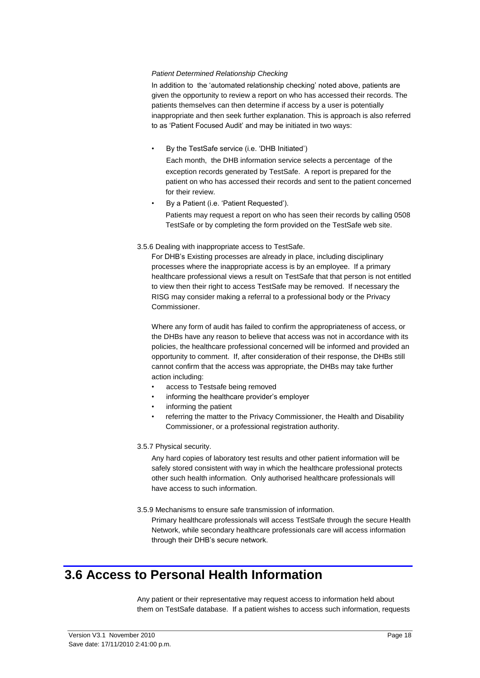#### *Patient Determined Relationship Checking*

In addition to the 'automated relationship checking' noted above, patients are given the opportunity to review a report on who has accessed their records. The patients themselves can then determine if access by a user is potentially inappropriate and then seek further explanation. This is approach is also referred to as "Patient Focused Audit" and may be initiated in two ways:

• By the TestSafe service (i.e. "DHB Initiated")

Each month, the DHB information service selects a percentage of the exception records generated by TestSafe. A report is prepared for the patient on who has accessed their records and sent to the patient concerned for their review.

• By a Patient (i.e. "Patient Requested").

Patients may request a report on who has seen their records by calling 0508 TestSafe or by completing the form provided on the TestSafe web site.

#### 3.5.6 Dealing with inappropriate access to TestSafe.

For DHB"s Existing processes are already in place, including disciplinary processes where the inappropriate access is by an employee. If a primary healthcare professional views a result on TestSafe that that person is not entitled to view then their right to access TestSafe may be removed. If necessary the RISG may consider making a referral to a professional body or the Privacy Commissioner.

Where any form of audit has failed to confirm the appropriateness of access, or the DHBs have any reason to believe that access was not in accordance with its policies, the healthcare professional concerned will be informed and provided an opportunity to comment. If, after consideration of their response, the DHBs still cannot confirm that the access was appropriate, the DHBs may take further action including:

- access to Testsafe being removed
- informing the healthcare provider's employer
- informing the patient
- referring the matter to the Privacy Commissioner, the Health and Disability Commissioner, or a professional registration authority.

#### 3.5.7 Physical security.

Any hard copies of laboratory test results and other patient information will be safely stored consistent with way in which the healthcare professional protects other such health information. Only authorised healthcare professionals will have access to such information.

3.5.9 Mechanisms to ensure safe transmission of information.

Primary healthcare professionals will access TestSafe through the secure Health Network, while secondary healthcare professionals care will access information through their DHB"s secure network.

### <span id="page-17-0"></span>**3.6 Access to Personal Health Information**

Any patient or their representative may request access to information held about them on TestSafe database. If a patient wishes to access such information, requests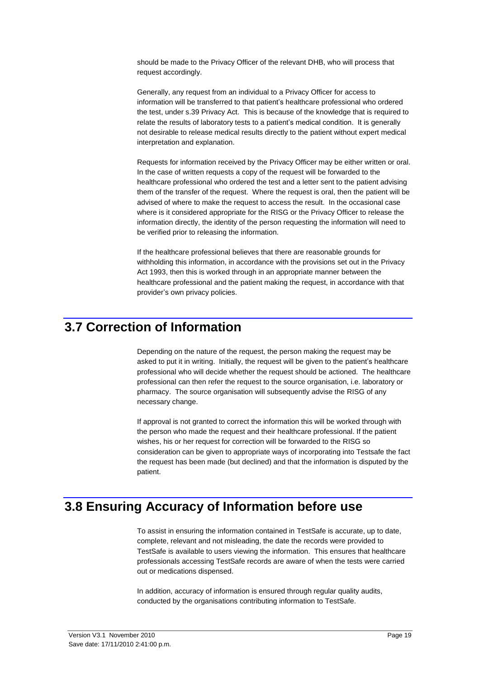should be made to the Privacy Officer of the relevant DHB, who will process that request accordingly.

Generally, any request from an individual to a Privacy Officer for access to information will be transferred to that patient"s healthcare professional who ordered the test, under s.39 Privacy Act. This is because of the knowledge that is required to relate the results of laboratory tests to a patient"s medical condition. It is generally not desirable to release medical results directly to the patient without expert medical interpretation and explanation.

Requests for information received by the Privacy Officer may be either written or oral. In the case of written requests a copy of the request will be forwarded to the healthcare professional who ordered the test and a letter sent to the patient advising them of the transfer of the request. Where the request is oral, then the patient will be advised of where to make the request to access the result. In the occasional case where is it considered appropriate for the RISG or the Privacy Officer to release the information directly, the identity of the person requesting the information will need to be verified prior to releasing the information.

If the healthcare professional believes that there are reasonable grounds for withholding this information, in accordance with the provisions set out in the Privacy Act 1993, then this is worked through in an appropriate manner between the healthcare professional and the patient making the request, in accordance with that provider"s own privacy policies.

### <span id="page-18-0"></span>**3.7 Correction of Information**

Depending on the nature of the request, the person making the request may be asked to put it in writing. Initially, the request will be given to the patient's healthcare professional who will decide whether the request should be actioned. The healthcare professional can then refer the request to the source organisation, i.e. laboratory or pharmacy. The source organisation will subsequently advise the RISG of any necessary change.

If approval is not granted to correct the information this will be worked through with the person who made the request and their healthcare professional. If the patient wishes, his or her request for correction will be forwarded to the RISG so consideration can be given to appropriate ways of incorporating into Testsafe the fact the request has been made (but declined) and that the information is disputed by the patient.

### <span id="page-18-1"></span>**3.8 Ensuring Accuracy of Information before use**

To assist in ensuring the information contained in TestSafe is accurate, up to date, complete, relevant and not misleading, the date the records were provided to TestSafe is available to users viewing the information. This ensures that healthcare professionals accessing TestSafe records are aware of when the tests were carried out or medications dispensed.

In addition, accuracy of information is ensured through regular quality audits, conducted by the organisations contributing information to TestSafe.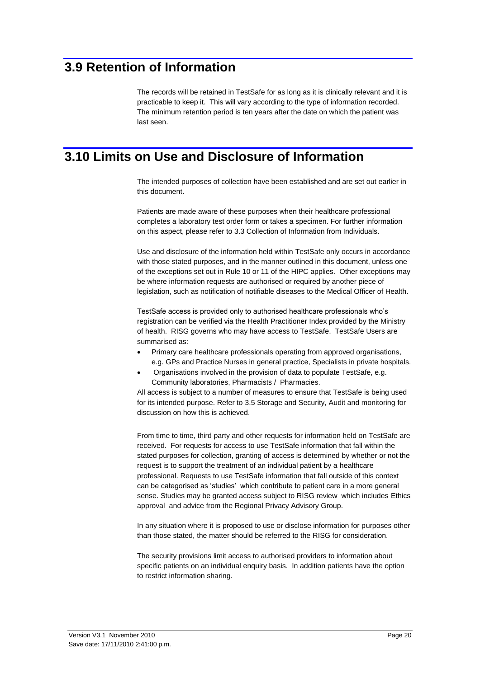### <span id="page-19-0"></span>**3.9 Retention of Information**

The records will be retained in TestSafe for as long as it is clinically relevant and it is practicable to keep it. This will vary according to the type of information recorded. The minimum retention period is ten years after the date on which the patient was last seen.

### <span id="page-19-1"></span>**3.10 Limits on Use and Disclosure of Information**

The intended purposes of collection have been established and are set out earlier in this document.

Patients are made aware of these purposes when their healthcare professional completes a laboratory test order form or takes a specimen. For further information on this aspect, please refer t[o 3.3 Collection of Information from Individuals.](#page-13-2)

Use and disclosure of the information held within TestSafe only occurs in accordance with those stated purposes, and in the manner outlined in this document, unless one of the exceptions set out in Rule 10 or 11 of the HIPC applies. Other exceptions may be where information requests are authorised or required by another piece of legislation, such as notification of notifiable diseases to the Medical Officer of Health.

TestSafe access is provided only to authorised healthcare professionals who"s registration can be verified via the Health Practitioner Index provided by the Ministry of health. RISG governs who may have access to TestSafe. TestSafe Users are summarised as:

- Primary care healthcare professionals operating from approved organisations, e.g. GPs and Practice Nurses in general practice, Specialists in private hospitals.
- Organisations involved in the provision of data to populate TestSafe, e.g. Community laboratories, Pharmacists / Pharmacies.

All access is subject to a number of measures to ensure that TestSafe is being used for its intended purpose. Refer t[o 3.5 Storage and Security,](#page-15-1) Audit and monitoring for discussion on how this is achieved.

From time to time, third party and other requests for information held on TestSafe are received. For requests for access to use TestSafe information that fall within the stated purposes for collection, granting of access is determined by whether or not the request is to support the treatment of an individual patient by a healthcare professional. Requests to use TestSafe information that fall outside of this context can be categorised as "studies" which contribute to patient care in a more general sense. Studies may be granted access subject to RISG review which includes Ethics approval and advice from the Regional Privacy Advisory Group.

In any situation where it is proposed to use or disclose information for purposes other than those stated, the matter should be referred to the RISG for consideration.

The security provisions limit access to authorised providers to information about specific patients on an individual enquiry basis. In addition patients have the option to restrict information sharing.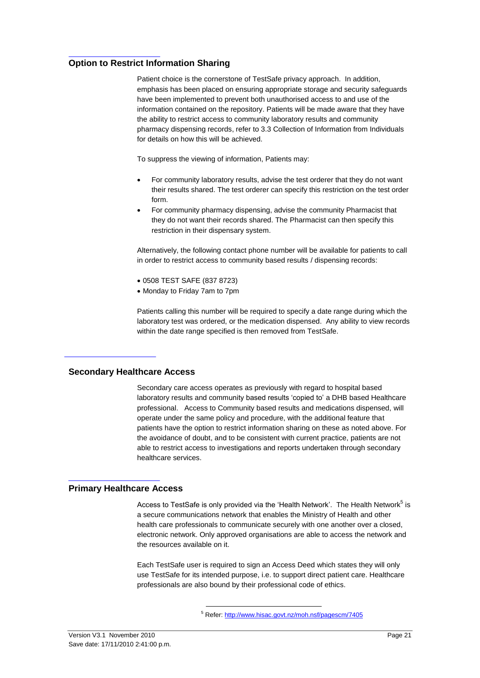#### <span id="page-20-0"></span>**Option to Restrict Information Sharing**

Patient choice is the cornerstone of TestSafe privacy approach. In addition, emphasis has been placed on ensuring appropriate storage and security safeguards have been implemented to prevent both unauthorised access to and use of the information contained on the repository. Patients will be made aware that they have the ability to restrict access to community laboratory results and community pharmacy dispensing records, refer t[o 3.3 Collection of Information from Individuals](#page-13-2) for details on how this will be achieved.

To suppress the viewing of information, Patients may:

- For community laboratory results, advise the test orderer that they do not want their results shared. The test orderer can specify this restriction on the test order form.
- For community pharmacy dispensing, advise the community Pharmacist that they do not want their records shared. The Pharmacist can then specify this restriction in their dispensary system.

Alternatively, the following contact phone number will be available for patients to call in order to restrict access to community based results / dispensing records:

- 0508 TEST SAFE (837 8723)
- Monday to Friday 7am to 7pm

Patients calling this number will be required to specify a date range during which the laboratory test was ordered, or the medication dispensed. Any ability to view records within the date range specified is then removed from TestSafe.

#### <span id="page-20-1"></span>**Secondary Healthcare Access**

Secondary care access operates as previously with regard to hospital based laboratory results and community based results "copied to" a DHB based Healthcare professional. Access to Community based results and medications dispensed, will operate under the same policy and procedure, with the additional feature that patients have the option to restrict information sharing on these as noted above. For the avoidance of doubt, and to be consistent with current practice, patients are not able to restrict access to investigations and reports undertaken through secondary healthcare services.

#### <span id="page-20-2"></span>**Primary Healthcare Access**

Access to TestSafe is only provided via the 'Health Network'. The Health Network<sup>5</sup> is a secure communications network that enables the Ministry of Health and other health care professionals to communicate securely with one another over a closed, electronic network. Only approved organisations are able to access the network and the resources available on it.

Each TestSafe user is required to sign an Access Deed which states they will only use TestSafe for its intended purpose, i.e. to support direct patient care. Healthcare professionals are also bound by their professional code of ethics.

 $\overline{a}$ 

<sup>5</sup> Refer[: http://www.hisac.govt.nz/moh.nsf/pagescm/7405](http://www.hisac.govt.nz/moh.nsf/pagescm/7405)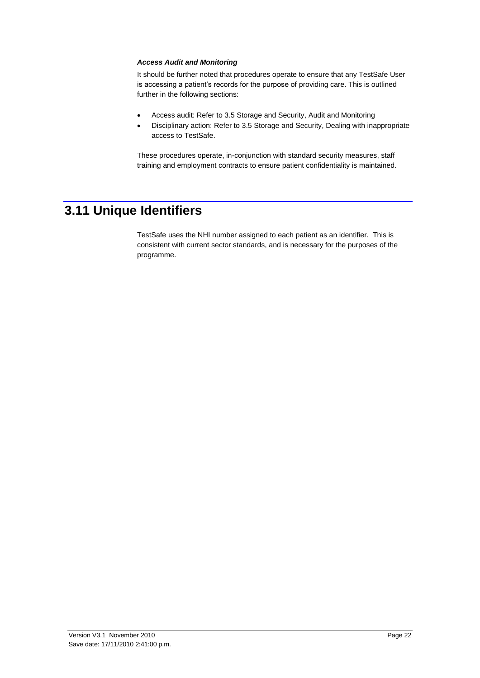#### *Access Audit and Monitoring*

It should be further noted that procedures operate to ensure that any TestSafe User is accessing a patient's records for the purpose of providing care. This is outlined further in the following sections:

- Access audit: Refer t[o 3.5 Storage and Security,](#page-15-1) Audit and Monitoring
- Disciplinary action: Refer to [3.5 Storage and Security,](#page-15-1) Dealing with inappropriate access to TestSafe.

These procedures operate, in-conjunction with standard security measures, staff training and employment contracts to ensure patient confidentiality is maintained.

### <span id="page-21-0"></span>**3.11 Unique Identifiers**

TestSafe uses the NHI number assigned to each patient as an identifier. This is consistent with current sector standards, and is necessary for the purposes of the programme.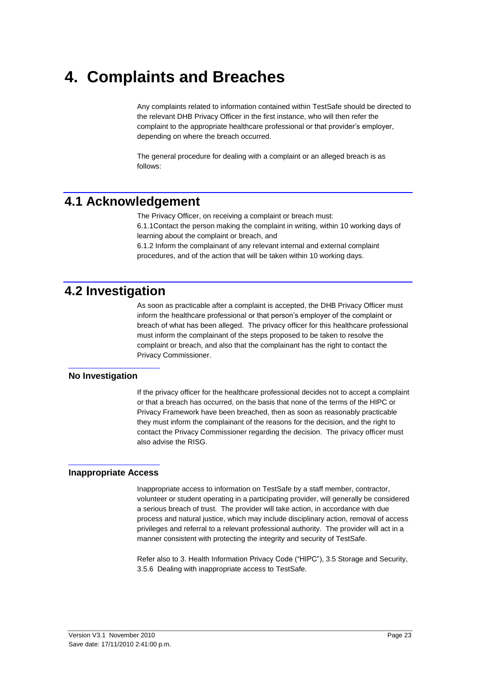# <span id="page-22-0"></span>**4. Complaints and Breaches**

Any complaints related to information contained within TestSafe should be directed to the relevant DHB Privacy Officer in the first instance, who will then refer the complaint to the appropriate healthcare professional or that provider"s employer, depending on where the breach occurred.

The general procedure for dealing with a complaint or an alleged breach is as follows:

### <span id="page-22-1"></span>**4.1 Acknowledgement**

The Privacy Officer, on receiving a complaint or breach must:

6.1.1Contact the person making the complaint in writing, within 10 working days of learning about the complaint or breach, and

6.1.2 Inform the complainant of any relevant internal and external complaint procedures, and of the action that will be taken within 10 working days.

### <span id="page-22-2"></span>**4.2 Investigation**

As soon as practicable after a complaint is accepted, the DHB Privacy Officer must inform the healthcare professional or that person"s employer of the complaint or breach of what has been alleged. The privacy officer for this healthcare professional must inform the complainant of the steps proposed to be taken to resolve the complaint or breach, and also that the complainant has the right to contact the Privacy Commissioner.

#### <span id="page-22-3"></span>**No Investigation**

If the privacy officer for the healthcare professional decides not to accept a complaint or that a breach has occurred, on the basis that none of the terms of the HIPC or Privacy Framework have been breached, then as soon as reasonably practicable they must inform the complainant of the reasons for the decision, and the right to contact the Privacy Commissioner regarding the decision. The privacy officer must also advise the RISG.

#### <span id="page-22-4"></span>**Inappropriate Access**

Inappropriate access to information on TestSafe by a staff member, contractor, volunteer or student operating in a participating provider, will generally be considered a serious breach of trust. The provider will take action, in accordance with due process and natural justice, which may include disciplinary action, removal of access privileges and referral to a relevant professional authority. The provider will act in a manner consistent with protecting the integrity and security of TestSafe.

Refer also t[o 3. Health Information Privacy Code \("HIPC"\),](#page-12-0) [3.5 Storage and Security,](#page-15-1) 3.5.6 Dealing with inappropriate access to TestSafe.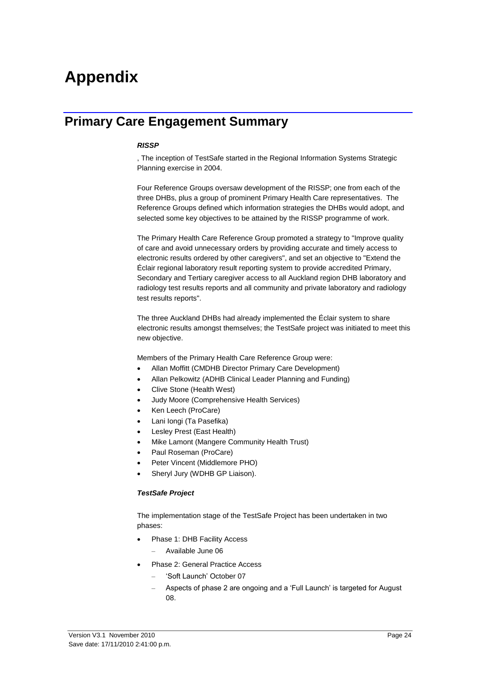# <span id="page-23-0"></span>**Appendix**

### <span id="page-23-1"></span>**Primary Care Engagement Summary**

#### *RISSP*

, The inception of TestSafe started in the Regional Information Systems Strategic Planning exercise in 2004.

Four Reference Groups oversaw development of the RISSP; one from each of the three DHBs, plus a group of prominent Primary Health Care representatives. The Reference Groups defined which information strategies the DHBs would adopt, and selected some key objectives to be attained by the RISSP programme of work.

The Primary Health Care Reference Group promoted a strategy to "Improve quality of care and avoid unnecessary orders by providing accurate and timely access to electronic results ordered by other caregivers", and set an objective to "Extend the Éclair regional laboratory result reporting system to provide accredited Primary, Secondary and Tertiary caregiver access to all Auckland region DHB laboratory and radiology test results reports and all community and private laboratory and radiology test results reports".

The three Auckland DHBs had already implemented the Éclair system to share electronic results amongst themselves; the TestSafe project was initiated to meet this new objective.

Members of the Primary Health Care Reference Group were:

- Allan Moffitt (CMDHB Director Primary Care Development)
- Allan Pelkowitz (ADHB Clinical Leader Planning and Funding)
- Clive Stone (Health West)
- Judy Moore (Comprehensive Health Services)
- Ken Leech (ProCare)
- Lani Iongi (Ta Pasefika)
- Lesley Prest (East Health)
- Mike Lamont (Mangere Community Health Trust)
- Paul Roseman (ProCare)
- Peter Vincent (Middlemore PHO)
- Sheryl Jury (WDHB GP Liaison).

#### *TestSafe Project*

The implementation stage of the TestSafe Project has been undertaken in two phases:

- Phase 1: DHB Facility Access
	- Available June 06
- Phase 2: General Practice Access
	- "Soft Launch" October 07
	- Aspects of phase 2 are ongoing and a "Full Launch" is targeted for August 08.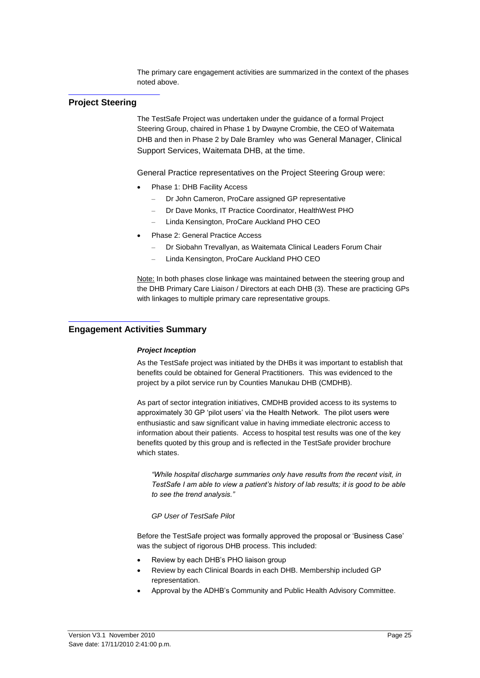The primary care engagement activities are summarized in the context of the phases noted above.

#### <span id="page-24-0"></span>**Project Steering**

The TestSafe Project was undertaken under the guidance of a formal Project Steering Group, chaired in Phase 1 by Dwayne Crombie, the CEO of Waitemata DHB and then in Phase 2 by Dale Bramley who was General Manager, Clinical Support Services, Waitemata DHB, at the time.

General Practice representatives on the Project Steering Group were:

- Phase 1: DHB Facility Access
	- Dr John Cameron, ProCare assigned GP representative
	- Dr Dave Monks, IT Practice Coordinator, HealthWest PHO
	- Linda Kensington, ProCare Auckland PHO CEO
- Phase 2: General Practice Access
	- Dr Siobahn Trevallyan, as Waitemata Clinical Leaders Forum Chair
	- Linda Kensington, ProCare Auckland PHO CEO

Note: In both phases close linkage was maintained between the steering group and the DHB Primary Care Liaison / Directors at each DHB (3). These are practicing GPs with linkages to multiple primary care representative groups.

#### <span id="page-24-1"></span>**Engagement Activities Summary**

#### *Project Inception*

As the TestSafe project was initiated by the DHBs it was important to establish that benefits could be obtained for General Practitioners. This was evidenced to the project by a pilot service run by Counties Manukau DHB (CMDHB).

As part of sector integration initiatives, CMDHB provided access to its systems to approximately 30 GP "pilot users" via the Health Network. The pilot users were enthusiastic and saw significant value in having immediate electronic access to information about their patients. Access to hospital test results was one of the key benefits quoted by this group and is reflected in the TestSafe provider brochure which states.

*"While hospital discharge summaries only have results from the recent visit, in TestSafe I am able to view a patient's history of lab results; it is good to be able to see the trend analysis."*

#### *GP User of TestSafe Pilot*

Before the TestSafe project was formally approved the proposal or "Business Case" was the subject of rigorous DHB process. This included:

- Review by each DHB"s PHO liaison group
- Review by each Clinical Boards in each DHB. Membership included GP representation.
- Approval by the ADHB"s Community and Public Health Advisory Committee.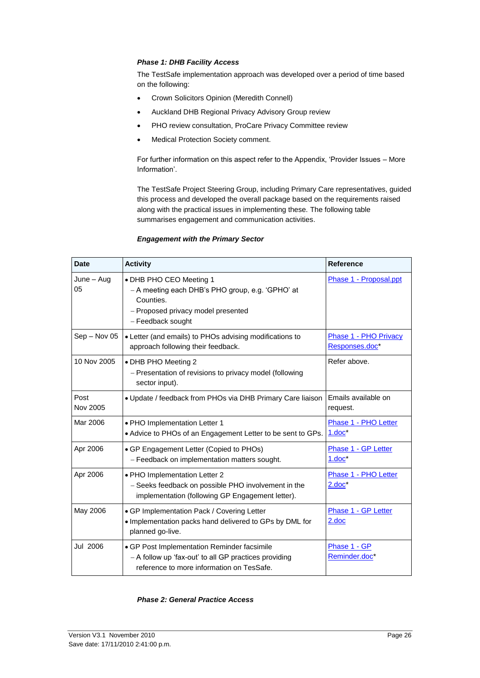#### *Phase 1: DHB Facility Access*

The TestSafe implementation approach was developed over a period of time based on the following:

- Crown Solicitors Opinion (Meredith Connell)
- Auckland DHB Regional Privacy Advisory Group review
- PHO review consultation, ProCare Privacy Committee review
- Medical Protection Society comment.

For further information on this aspect refer to the Appendix, "Provider Issues – More Information".

The TestSafe Project Steering Group, including Primary Care representatives, guided this process and developed the overall package based on the requirements raised along with the practical issues in implementing these. The following table summarises engagement and communication activities.

#### *Engagement with the Primary Sector*

| <b>Date</b>      | <b>Activity</b>                                                                                                                                     | <b>Reference</b>                               |
|------------------|-----------------------------------------------------------------------------------------------------------------------------------------------------|------------------------------------------------|
| June – Aug<br>05 | • DHB PHO CEO Meeting 1<br>- A meeting each DHB's PHO group, e.g. 'GPHO' at<br>Counties.<br>- Proposed privacy model presented<br>- Feedback sought | Phase 1 - Proposal.ppt                         |
| Sep - Nov 05     | • Letter (and emails) to PHOs advising modifications to<br>approach following their feedback.                                                       | <b>Phase 1 - PHO Privacy</b><br>Responses.doc* |
| 10 Nov 2005      | • DHB PHO Meeting 2<br>- Presentation of revisions to privacy model (following<br>sector input).                                                    | Refer above.                                   |
| Post<br>Nov 2005 | . Update / feedback from PHOs via DHB Primary Care liaison                                                                                          | Emails available on<br>request.                |
| Mar 2006         | · PHO Implementation Letter 1<br>• Advice to PHOs of an Engagement Letter to be sent to GPs.                                                        | Phase 1 - PHO Letter<br>$1.doc*$               |
| Apr 2006         | • GP Engagement Letter (Copied to PHOs)<br>- Feedback on implementation matters sought.                                                             | Phase 1 - GP Letter<br>$1.doc^*$               |
| Apr 2006         | · PHO Implementation Letter 2<br>- Seeks feedback on possible PHO involvement in the<br>implementation (following GP Engagement letter).            | Phase 1 - PHO Letter<br>$2.doc^*$              |
| May 2006         | • GP Implementation Pack / Covering Letter<br>. Implementation packs hand delivered to GPs by DML for<br>planned go-live.                           | Phase 1 - GP Letter<br>2.doc                   |
| Jul 2006         | • GP Post Implementation Reminder facsimile<br>- A follow up 'fax-out' to all GP practices providing<br>reference to more information on TesSafe.   | Phase 1 - GP<br>Reminder.doc*                  |

#### *Phase 2: General Practice Access*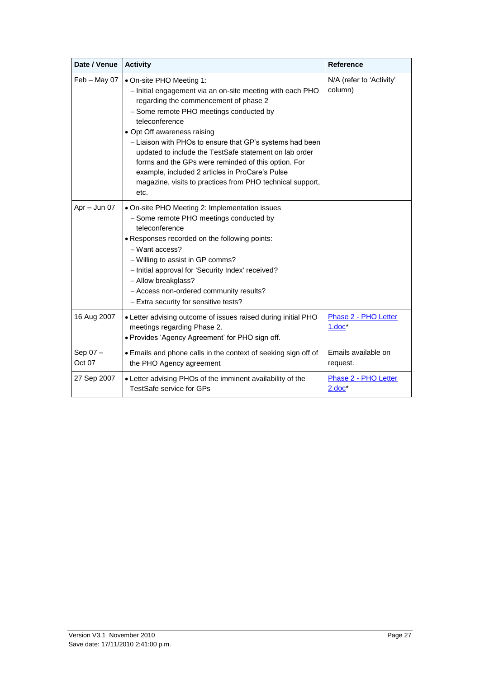| Date / Venue      | <b>Activity</b>                                                                                                                                                                                                                                                                                                                                                                                                                                                                                                                 | <b>Reference</b>                        |
|-------------------|---------------------------------------------------------------------------------------------------------------------------------------------------------------------------------------------------------------------------------------------------------------------------------------------------------------------------------------------------------------------------------------------------------------------------------------------------------------------------------------------------------------------------------|-----------------------------------------|
| Feb - May 07      | • On-site PHO Meeting 1:<br>- Initial engagement via an on-site meeting with each PHO<br>regarding the commencement of phase 2<br>- Some remote PHO meetings conducted by<br>teleconference<br>• Opt Off awareness raising<br>- Liaison with PHOs to ensure that GP's systems had been<br>updated to include the TestSafe statement on lab order<br>forms and the GPs were reminded of this option. For<br>example, included 2 articles in ProCare's Pulse<br>magazine, visits to practices from PHO technical support,<br>etc. | N/A (refer to 'Activity'<br>column)     |
| Apr - Jun 07      | • On-site PHO Meeting 2: Implementation issues<br>- Some remote PHO meetings conducted by<br>teleconference<br>• Responses recorded on the following points:<br>$-$ Want access?<br>- Willing to assist in GP comms?<br>- Initial approval for 'Security Index' received?<br>- Allow breakglass?<br>- Access non-ordered community results?<br>- Extra security for sensitive tests?                                                                                                                                            |                                         |
| 16 Aug 2007       | • Letter advising outcome of issues raised during initial PHO<br>meetings regarding Phase 2.<br>· Provides 'Agency Agreement' for PHO sign off.                                                                                                                                                                                                                                                                                                                                                                                 | <b>Phase 2 - PHO Letter</b><br>$1.00c*$ |
| Sep 07-<br>Oct 07 | · Emails and phone calls in the context of seeking sign off of<br>the PHO Agency agreement                                                                                                                                                                                                                                                                                                                                                                                                                                      | Emails available on<br>request.         |
| 27 Sep 2007       | • Letter advising PHOs of the imminent availability of the<br>TestSafe service for GPs                                                                                                                                                                                                                                                                                                                                                                                                                                          | Phase 2 - PHO Letter<br>$2.doc^*$       |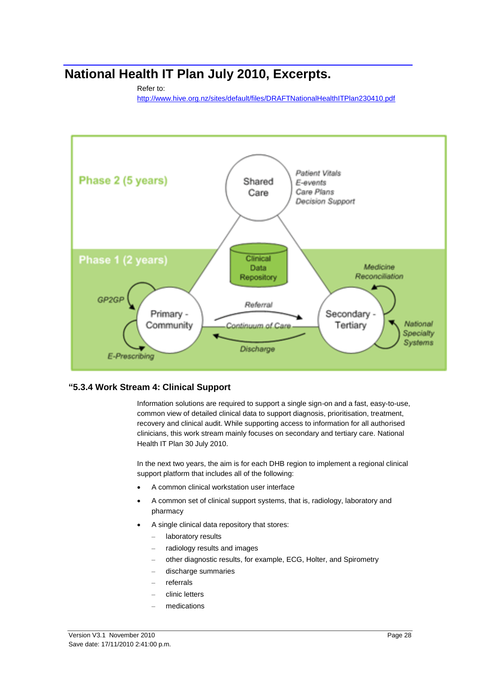# <span id="page-27-0"></span>**National Health IT Plan July 2010, Excerpts.**

#### Refer to:

<http://www.hive.org.nz/sites/default/files/DRAFTNationalHealthITPlan230410.pdf>



#### <span id="page-27-1"></span>**"5.3.4 Work Stream 4: Clinical Support**

Information solutions are required to support a single sign-on and a fast, easy-to-use, common view of detailed clinical data to support diagnosis, prioritisation, treatment, recovery and clinical audit. While supporting access to information for all authorised clinicians, this work stream mainly focuses on secondary and tertiary care. National Health IT Plan 30 July 2010.

In the next two years, the aim is for each DHB region to implement a regional clinical support platform that includes all of the following:

- A common clinical workstation user interface
- A common set of clinical support systems, that is, radiology, laboratory and pharmacy
- A single clinical data repository that stores:
	- laboratory results
	- radiology results and images
	- other diagnostic results, for example, ECG, Holter, and Spirometry
	- discharge summaries
	- referrals
	- clinic letters
	- medications